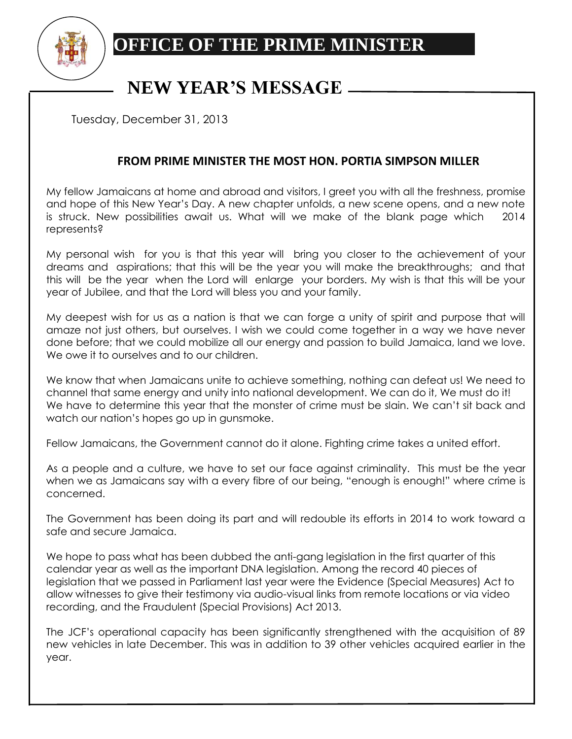

## **OFFICE OF THE PRIME MINISTER**

## **NEW YEAR'S MESSAGE**

Tuesday, December 31, 2013

## **FROM PRIME MINISTER THE MOST HON. PORTIA SIMPSON MILLER**

My fellow Jamaicans at home and abroad and visitors, I greet you with all the freshness, promise and hope of this New Year's Day. A new chapter unfolds, a new scene opens, and a new note is struck. New possibilities await us. What will we make of the blank page which 2014 represents?

My personal wish for you is that this year will bring you closer to the achievement of your dreams and aspirations; that this will be the year you will make the breakthroughs; and that this will be the year when the Lord will enlarge your borders. My wish is that this will be your year of Jubilee, and that the Lord will bless you and your family.

My deepest wish for us as a nation is that we can forge a unity of spirit and purpose that will amaze not just others, but ourselves. I wish we could come together in a way we have never done before; that we could mobilize all our energy and passion to build Jamaica, land we love. We owe it to ourselves and to our children.

We know that when Jamaicans unite to achieve something, nothing can defeat us! We need to channel that same energy and unity into national development. We can do it, We must do it! We have to determine this year that the monster of crime must be slain. We can't sit back and watch our nation's hopes go up in gunsmoke.

Fellow Jamaicans, the Government cannot do it alone. Fighting crime takes a united effort.

As a people and a culture, we have to set our face against criminality. This must be the year when we as Jamaicans say with a every fibre of our being, "enough is enough!" where crime is concerned.

The Government has been doing its part and will redouble its efforts in 2014 to work toward a safe and secure Jamaica.

We hope to pass what has been dubbed the anti-gang legislation in the first quarter of this calendar year as well as the important DNA legislation. Among the record 40 pieces of legislation that we passed in Parliament last year were the Evidence (Special Measures) Act to allow witnesses to give their testimony via audio-visual links from remote locations or via video recording, and the Fraudulent (Special Provisions) Act 2013.

The JCF's operational capacity has been significantly strengthened with the acquisition of 89 new vehicles in late December. This was in addition to 39 other vehicles acquired earlier in the year.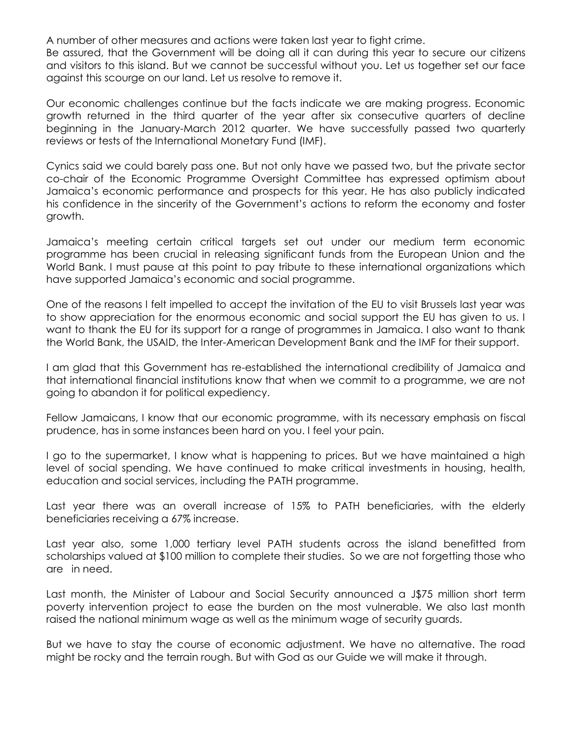A number of other measures and actions were taken last year to fight crime.

Be assured, that the Government will be doing all it can during this year to secure our citizens and visitors to this island. But we cannot be successful without you. Let us together set our face against this scourge on our land. Let us resolve to remove it.

Our economic challenges continue but the facts indicate we are making progress. Economic growth returned in the third quarter of the year after six consecutive quarters of decline beginning in the January-March 2012 quarter. We have successfully passed two quarterly reviews or tests of the International Monetary Fund (IMF).

Cynics said we could barely pass one. But not only have we passed two, but the private sector co-chair of the Economic Programme Oversight Committee has expressed optimism about Jamaica's economic performance and prospects for this year. He has also publicly indicated his confidence in the sincerity of the Government's actions to reform the economy and foster growth.

Jamaica's meeting certain critical targets set out under our medium term economic programme has been crucial in releasing significant funds from the European Union and the World Bank. I must pause at this point to pay tribute to these international organizations which have supported Jamaica's economic and social programme.

One of the reasons I felt impelled to accept the invitation of the EU to visit Brussels last year was to show appreciation for the enormous economic and social support the EU has given to us. I want to thank the EU for its support for a range of programmes in Jamaica. I also want to thank the World Bank, the USAID, the Inter-American Development Bank and the IMF for their support.

I am glad that this Government has re-established the international credibility of Jamaica and that international financial institutions know that when we commit to a programme, we are not going to abandon it for political expediency.

Fellow Jamaicans, I know that our economic programme, with its necessary emphasis on fiscal prudence, has in some instances been hard on you. I feel your pain.

I go to the supermarket, I know what is happening to prices. But we have maintained a high level of social spending. We have continued to make critical investments in housing, health, education and social services, including the PATH programme.

Last year there was an overall increase of 15% to PATH beneficiaries, with the elderly beneficiaries receiving a 67% increase.

Last year also, some 1,000 tertiary level PATH students across the island benefitted from scholarships valued at \$100 million to complete their studies. So we are not forgetting those who are in need.

Last month, the Minister of Labour and Social Security announced a J\$75 million short term poverty intervention project to ease the burden on the most vulnerable. We also last month raised the national minimum wage as well as the minimum wage of security guards.

But we have to stay the course of economic adjustment. We have no alternative. The road might be rocky and the terrain rough. But with God as our Guide we will make it through.